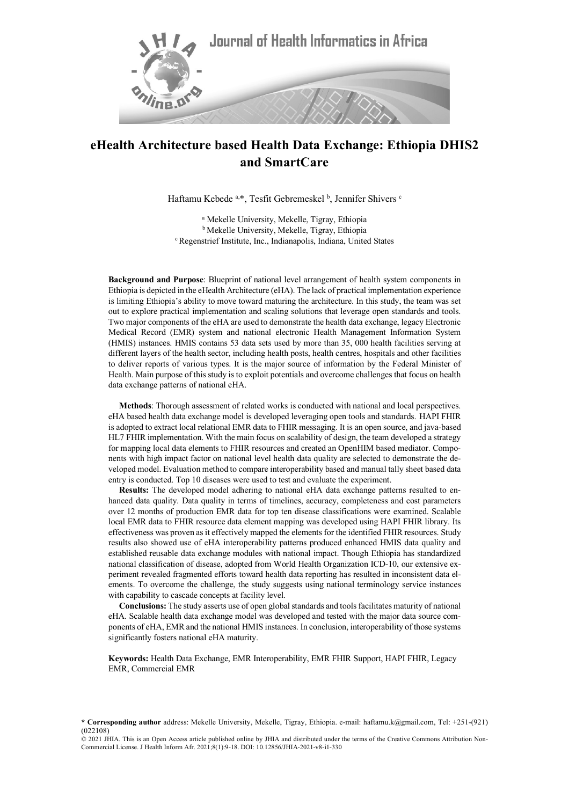

Haftamu Kebede <sup>a,\*</sup>, Tesfit Gebremeskel <sup>b</sup>, Jennifer Shivers c

<sup>a</sup> Mekelle University, Mekelle, Tigray, Ethiopia <sup>b</sup> Mekelle University, Mekelle, Tigray, Ethiopia c Regenstrief Institute, Inc., Indianapolis, Indiana, United States

**Background and Purpose**: Blueprint of national level arrangement of health system components in Ethiopia is depicted in the eHealth Architecture (eHA). The lack of practical implementation experience is limiting Ethiopia's ability to move toward maturing the architecture. In this study, the team was set out to explore practical implementation and scaling solutions that leverage open standards and tools. Two major components of the eHA are used to demonstrate the health data exchange, legacy Electronic Medical Record (EMR) system and national electronic Health Management Information System (HMIS) instances. HMIS contains 53 data sets used by more than 35, 000 health facilities serving at different layers of the health sector, including health posts, health centres, hospitals and other facilities to deliver reports of various types. It is the major source of information by the Federal Minister of Health. Main purpose of this study is to exploit potentials and overcome challenges that focus on health data exchange patterns of national eHA.

**Methods**: Thorough assessment of related works is conducted with national and local perspectives. eHA based health data exchange model is developed leveraging open tools and standards. HAPI FHIR is adopted to extract local relational EMR data to FHIR messaging. It is an open source, and java-based HL7 FHIR implementation. With the main focus on scalability of design, the team developed a strategy for mapping local data elements to FHIR resources and created an OpenHIM based mediator. Components with high impact factor on national level health data quality are selected to demonstrate the developed model. Evaluation method to compare interoperability based and manual tally sheet based data entry is conducted. Top 10 diseases were used to test and evaluate the experiment.

**Results:** The developed model adhering to national eHA data exchange patterns resulted to enhanced data quality. Data quality in terms of timelines, accuracy, completeness and cost parameters over 12 months of production EMR data for top ten disease classifications were examined. Scalable local EMR data to FHIR resource data element mapping was developed using HAPI FHIR library. Its effectiveness was proven as it effectively mapped the elements for the identified FHIR resources. Study results also showed use of eHA interoperability patterns produced enhanced HMIS data quality and established reusable data exchange modules with national impact. Though Ethiopia has standardized national classification of disease, adopted from World Health Organization ICD-10, our extensive experiment revealed fragmented efforts toward health data reporting has resulted in inconsistent data elements. To overcome the challenge, the study suggests using national terminology service instances with capability to cascade concepts at facility level.

**Conclusions:** The study asserts use of open global standards and tools facilitates maturity of national eHA. Scalable health data exchange model was developed and tested with the major data source components of eHA, EMR and the national HMIS instances. In conclusion, interoperability of those systems significantly fosters national eHA maturity.

**Keywords:** Health Data Exchange, EMR Interoperability, EMR FHIR Support, HAPI FHIR, Legacy EMR, Commercial EMR

**<sup>\*</sup> Corresponding author** address: Mekelle University, Mekelle, Tigray, Ethiopia. e-mail: haftamu.k@gmail.com, Tel: +251-(921) (022108)

<sup>© 2021</sup> JHIA. This is an Open Access article published online by JHIA and distributed under the terms of the Creative Commons Attribution Non-Commercial License. J Health Inform Afr. 2021;8(1):9-18. DOI: 10.12856/JHIA-2021-v8-i1-330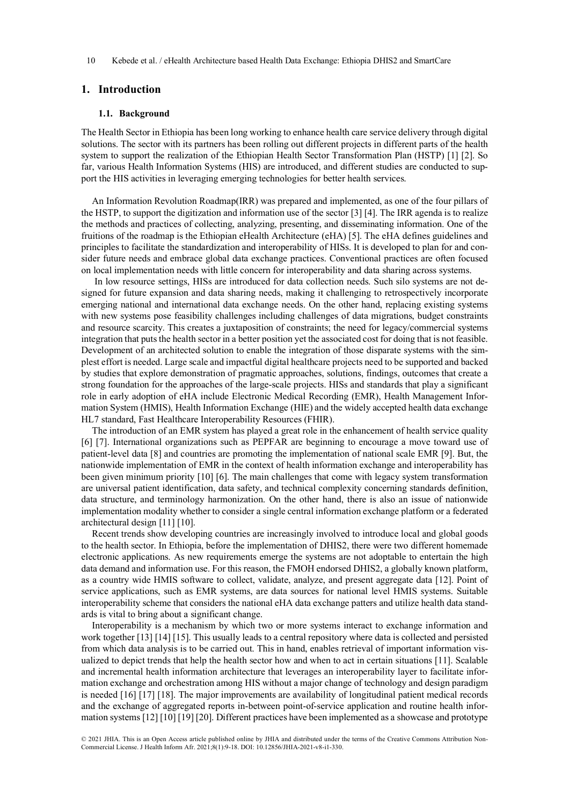# **1. Introduction**

#### **1.1. Background**

The Health Sector in Ethiopia has been long working to enhance health care service delivery through digital solutions. The sector with its partners has been rolling out different projects in different parts of the health system to support the realization of the Ethiopian Health Sector Transformation Plan (HSTP) [1] [2]. So far, various Health Information Systems (HIS) are introduced, and different studies are conducted to support the HIS activities in leveraging emerging technologies for better health services.

An Information Revolution Roadmap(IRR) was prepared and implemented, as one of the four pillars of the HSTP, to support the digitization and information use of the sector [3] [4]. The IRR agenda is to realize the methods and practices of collecting, analyzing, presenting, and disseminating information. One of the fruitions of the roadmap is the Ethiopian eHealth Architecture (eHA) [5]. The eHA defines guidelines and principles to facilitate the standardization and interoperability of HISs. It is developed to plan for and consider future needs and embrace global data exchange practices. Conventional practices are often focused on local implementation needs with little concern for interoperability and data sharing across systems.

In low resource settings, HISs are introduced for data collection needs. Such silo systems are not designed for future expansion and data sharing needs, making it challenging to retrospectively incorporate emerging national and international data exchange needs. On the other hand, replacing existing systems with new systems pose feasibility challenges including challenges of data migrations, budget constraints and resource scarcity. This creates a juxtaposition of constraints; the need for legacy/commercial systems integration that puts the health sector in a better position yet the associated cost for doing that is not feasible. Development of an architected solution to enable the integration of those disparate systems with the simplest effort is needed. Large scale and impactful digital healthcare projects need to be supported and backed by studies that explore demonstration of pragmatic approaches, solutions, findings, outcomes that create a strong foundation for the approaches of the large-scale projects. HISs and standards that play a significant role in early adoption of eHA include Electronic Medical Recording (EMR), Health Management Information System (HMIS), Health Information Exchange (HIE) and the widely accepted health data exchange HL7 standard, Fast Healthcare Interoperability Resources (FHIR).

The introduction of an EMR system has played a great role in the enhancement of health service quality [6] [7]. International organizations such as PEPFAR are beginning to encourage a move toward use of patient-level data [8] and countries are promoting the implementation of national scale EMR [9]. But, the nationwide implementation of EMR in the context of health information exchange and interoperability has been given minimum priority [10] [6]. The main challenges that come with legacy system transformation are universal patient identification, data safety, and technical complexity concerning standards definition, data structure, and terminology harmonization. On the other hand, there is also an issue of nationwide implementation modality whether to consider a single central information exchange platform or a federated architectural design [11] [10].

Recent trends show developing countries are increasingly involved to introduce local and global goods to the health sector. In Ethiopia, before the implementation of DHIS2, there were two different homemade electronic applications. As new requirements emerge the systems are not adoptable to entertain the high data demand and information use. For this reason, the FMOH endorsed DHIS2, a globally known platform, as a country wide HMIS software to collect, validate, analyze, and present aggregate data [12]. Point of service applications, such as EMR systems, are data sources for national level HMIS systems. Suitable interoperability scheme that considers the national eHA data exchange patters and utilize health data standards is vital to bring about a significant change.

Interoperability is a mechanism by which two or more systems interact to exchange information and work together [13] [14] [15]. This usually leads to a central repository where data is collected and persisted from which data analysis is to be carried out. This in hand, enables retrieval of important information visualized to depict trends that help the health sector how and when to act in certain situations [11]. Scalable and incremental health information architecture that leverages an interoperability layer to facilitate information exchange and orchestration among HIS without a major change of technology and design paradigm is needed [16] [17] [18]. The major improvements are availability of longitudinal patient medical records and the exchange of aggregated reports in-between point-of-service application and routine health information systems [12] [10] [19] [20]. Different practices have been implemented as a showcase and prototype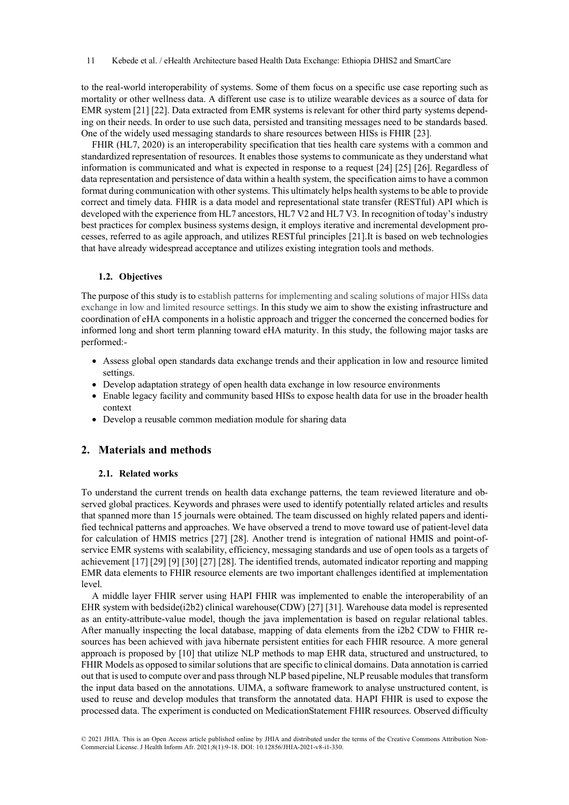to the real-world interoperability of systems. Some of them focus on a specific use case reporting such as mortality or other wellness data. A different use case is to utilize wearable devices as a source of data for EMR system [21] [22]. Data extracted from EMR systems is relevant for other third party systems depending on their needs. In order to use such data, persisted and transiting messages need to be standards based. One of the widely used messaging standards to share resources between HISs is FHIR [23].

FHIR (HL7, 2020) is an interoperability specification that ties health care systems with a common and standardized representation of resources. It enables those systems to communicate as they understand what information is communicated and what is expected in response to a request [24] [25] [26]. Regardless of data representation and persistence of data within a health system, the specification aims to have a common format during communication with other systems. This ultimately helps health systems to be able to provide correct and timely data. FHIR is a data model and representational state transfer (RESTful) API which is developed with the experience from HL7 ancestors, HL7 V2 and HL7 V3. In recognition of today's industry best practices for complex business systems design, it employs iterative and incremental development processes, referred to as agile approach, and utilizes RESTful principles [21].It is based on web technologies that have already widespread acceptance and utilizes existing integration tools and methods.

## **1.2. Objectives**

The purpose of this study is to establish patterns for implementing and scaling solutions of major HISs data exchange in low and limited resource settings. In this study we aim to show the existing infrastructure and coordination of eHA components in a holistic approach and trigger the concerned the concerned bodies for informed long and short term planning toward eHA maturity. In this study, the following major tasks are performed:-

- Assess global open standards data exchange trends and their application in low and resource limited settings.
- Develop adaptation strategy of open health data exchange in low resource environments
- Enable legacy facility and community based HISs to expose health data for use in the broader health context
- Develop a reusable common mediation module for sharing data

# **2. Materials and methods**

## **2.1. Related works**

To understand the current trends on health data exchange patterns, the team reviewed literature and observed global practices. Keywords and phrases were used to identify potentially related articles and results that spanned more than 15 journals were obtained. The team discussed on highly related papers and identified technical patterns and approaches. We have observed a trend to move toward use of patient-level data for calculation of HMIS metrics [27] [28]. Another trend is integration of national HMIS and point-ofservice EMR systems with scalability, efficiency, messaging standards and use of open tools as a targets of achievement [17] [29] [9] [30] [27] [28]. The identified trends, automated indicator reporting and mapping EMR data elements to FHIR resource elements are two important challenges identified at implementation level.

A middle layer FHIR server using HAPI FHIR was implemented to enable the interoperability of an EHR system with bedside(i2b2) clinical warehouse(CDW) [27] [31]. Warehouse data model is represented as an entity-attribute-value model, though the java implementation is based on regular relational tables. After manually inspecting the local database, mapping of data elements from the i2b2 CDW to FHIR resources has been achieved with java hibernate persistent entities for each FHIR resource. A more general approach is proposed by [10] that utilize NLP methods to map EHR data, structured and unstructured, to FHIR Models as opposed to similar solutions that are specific to clinical domains. Data annotation is carried out that is used to compute over and pass through NLP based pipeline, NLP reusable modules that transform the input data based on the annotations. UIMA, a software framework to analyse unstructured content, is used to reuse and develop modules that transform the annotated data. HAPI FHIR is used to expose the processed data. The experiment is conducted on MedicationStatement FHIR resources. Observed difficulty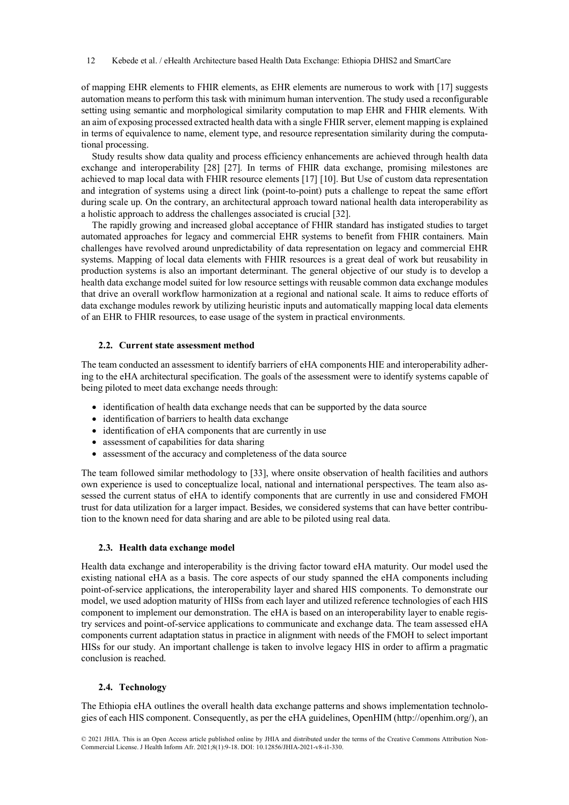of mapping EHR elements to FHIR elements, as EHR elements are numerous to work with [17] suggests automation means to perform this task with minimum human intervention. The study used a reconfigurable setting using semantic and morphological similarity computation to map EHR and FHIR elements. With an aim of exposing processed extracted health data with a single FHIR server, element mapping is explained in terms of equivalence to name, element type, and resource representation similarity during the computational processing.

Study results show data quality and process efficiency enhancements are achieved through health data exchange and interoperability [28] [27]. In terms of FHIR data exchange, promising milestones are achieved to map local data with FHIR resource elements [17] [10]. But Use of custom data representation and integration of systems using a direct link (point-to-point) puts a challenge to repeat the same effort during scale up. On the contrary, an architectural approach toward national health data interoperability as a holistic approach to address the challenges associated is crucial [32].

The rapidly growing and increased global acceptance of FHIR standard has instigated studies to target automated approaches for legacy and commercial EHR systems to benefit from FHIR containers. Main challenges have revolved around unpredictability of data representation on legacy and commercial EHR systems. Mapping of local data elements with FHIR resources is a great deal of work but reusability in production systems is also an important determinant. The general objective of our study is to develop a health data exchange model suited for low resource settings with reusable common data exchange modules that drive an overall workflow harmonization at a regional and national scale. It aims to reduce efforts of data exchange modules rework by utilizing heuristic inputs and automatically mapping local data elements of an EHR to FHIR resources, to ease usage of the system in practical environments.

## **2.2. Current state assessment method**

The team conducted an assessment to identify barriers of eHA components HIE and interoperability adhering to the eHA architectural specification. The goals of the assessment were to identify systems capable of being piloted to meet data exchange needs through:

- identification of health data exchange needs that can be supported by the data source
- identification of barriers to health data exchange
- identification of eHA components that are currently in use
- assessment of capabilities for data sharing
- assessment of the accuracy and completeness of the data source

The team followed similar methodology to [33], where onsite observation of health facilities and authors own experience is used to conceptualize local, national and international perspectives. The team also assessed the current status of eHA to identify components that are currently in use and considered FMOH trust for data utilization for a larger impact. Besides, we considered systems that can have better contribution to the known need for data sharing and are able to be piloted using real data.

## **2.3. Health data exchange model**

Health data exchange and interoperability is the driving factor toward eHA maturity. Our model used the existing national eHA as a basis. The core aspects of our study spanned the eHA components including point-of-service applications, the interoperability layer and shared HIS components. To demonstrate our model, we used adoption maturity of HISs from each layer and utilized reference technologies of each HIS component to implement our demonstration. The eHA is based on an interoperability layer to enable registry services and point-of-service applications to communicate and exchange data. The team assessed eHA components current adaptation status in practice in alignment with needs of the FMOH to select important HISs for our study. An important challenge is taken to involve legacy HIS in order to affirm a pragmatic conclusion is reached.

## **2.4. Technology**

The Ethiopia eHA outlines the overall health data exchange patterns and shows implementation technologies of each HIS component. Consequently, as per the eHA guidelines, OpenHIM (http://openhim.org/), an

<sup>© 2021</sup> JHIA. This is an Open Access article published online by JHIA and distributed under the terms of the Creative Commons Attribution Non-Commercial License. J Health Inform Afr. 2021;8(1):9-18. DOI: 10.12856/JHIA-2021-v8-i1-330.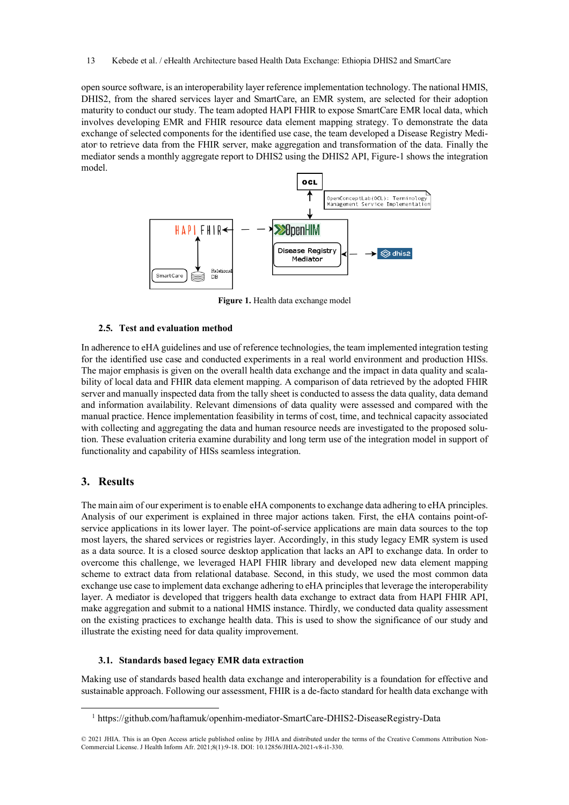open source software, is an interoperability layer reference implementation technology. The national HMIS, DHIS2, from the shared services layer and SmartCare, an EMR system, are selected for their adoption maturity to conduct our study. The team adopted HAPI FHIR to expose SmartCare EMR local data, which involves developing EMR and FHIR resource data element mapping strategy. To demonstrate the data exchange of selected components for the identified use case, the team developed a Disease Registry Mediator to retrieve data from the FHIR server, make aggregation and transformation of the data. Finally the mediator sends a monthly aggregate report to DHIS2 using the DHIS2 API, Figure-1 shows the integration model.



**Figure 1.** Health data exchange model

## **2.5. Test and evaluation method**

In adherence to eHA guidelines and use of reference technologies, the team implemented integration testing for the identified use case and conducted experiments in a real world environment and production HISs. The major emphasis is given on the overall health data exchange and the impact in data quality and scalability of local data and FHIR data element mapping. A comparison of data retrieved by the adopted FHIR server and manually inspected data from the tally sheet is conducted to assess the data quality, data demand and information availability. Relevant dimensions of data quality were assessed and compared with the manual practice. Hence implementation feasibility in terms of cost, time, and technical capacity associated with collecting and aggregating the data and human resource needs are investigated to the proposed solution. These evaluation criteria examine durability and long term use of the integration model in support of functionality and capability of HISs seamless integration.

# **3. Results**

The main aim of our experiment is to enable eHA components to exchange data adhering to eHA principles. Analysis of our experiment is explained in three major actions taken. First, the eHA contains point-ofservice applications in its lower layer. The point-of-service applications are main data sources to the top most layers, the shared services or registries layer. Accordingly, in this study legacy EMR system is used as a data source. It is a closed source desktop application that lacks an API to exchange data. In order to overcome this challenge, we leveraged HAPI FHIR library and developed new data element mapping scheme to extract data from relational database. Second, in this study, we used the most common data exchange use case to implement data exchange adhering to eHA principles that leverage the interoperability layer. A mediator is developed that triggers health data exchange to extract data from HAPI FHIR API, make aggregation and submit to a national HMIS instance. Thirdly, we conducted data quality assessment on the existing practices to exchange health data. This is used to show the significance of our study and illustrate the existing need for data quality improvement.

## **3.1. Standards based legacy EMR data extraction**

Making use of standards based health data exchange and interoperability is a foundation for effective and sustainable approach. Following our assessment, FHIR is a de-facto standard for health data exchange with

 <sup>1</sup> https://github.com/haftamuk/openhim-mediator-SmartCare-DHIS2-DiseaseRegistry-Data

<sup>© 2021</sup> JHIA. This is an Open Access article published online by JHIA and distributed under the terms of the Creative Commons Attribution Non-Commercial License. J Health Inform Afr. 2021;8(1):9-18. DOI: 10.12856/JHIA-2021-v8-i1-330.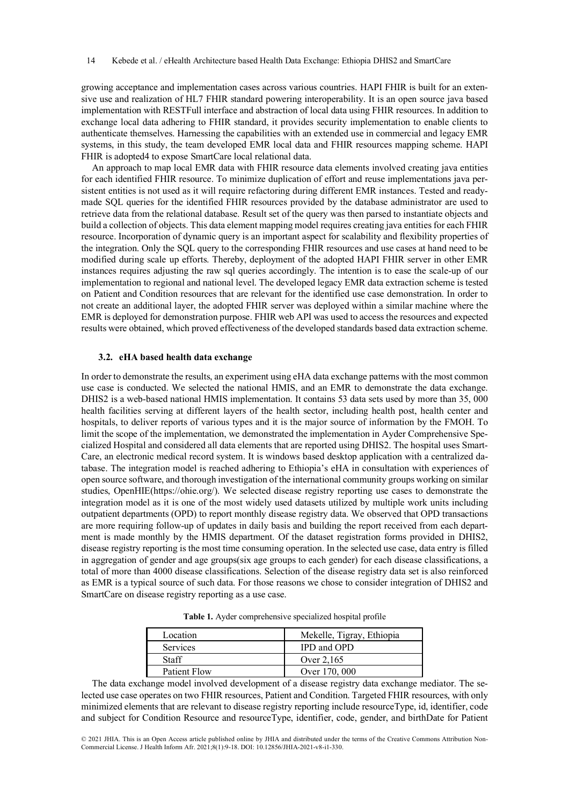growing acceptance and implementation cases across various countries. HAPI FHIR is built for an extensive use and realization of HL7 FHIR standard powering interoperability. It is an open source java based implementation with RESTFull interface and abstraction of local data using FHIR resources. In addition to exchange local data adhering to FHIR standard, it provides security implementation to enable clients to authenticate themselves. Harnessing the capabilities with an extended use in commercial and legacy EMR systems, in this study, the team developed EMR local data and FHIR resources mapping scheme. HAPI FHIR is adopted4 to expose SmartCare local relational data.

An approach to map local EMR data with FHIR resource data elements involved creating java entities for each identified FHIR resource. To minimize duplication of effort and reuse implementations java persistent entities is not used as it will require refactoring during different EMR instances. Tested and readymade SQL queries for the identified FHIR resources provided by the database administrator are used to retrieve data from the relational database. Result set of the query was then parsed to instantiate objects and build a collection of objects. This data element mapping model requires creating java entities for each FHIR resource. Incorporation of dynamic query is an important aspect for scalability and flexibility properties of the integration. Only the SQL query to the corresponding FHIR resources and use cases at hand need to be modified during scale up efforts. Thereby, deployment of the adopted HAPI FHIR server in other EMR instances requires adjusting the raw sql queries accordingly. The intention is to ease the scale-up of our implementation to regional and national level. The developed legacy EMR data extraction scheme is tested on Patient and Condition resources that are relevant for the identified use case demonstration. In order to not create an additional layer, the adopted FHIR server was deployed within a similar machine where the EMR is deployed for demonstration purpose. FHIR web API was used to access the resources and expected results were obtained, which proved effectiveness of the developed standards based data extraction scheme.

## **3.2. eHA based health data exchange**

In order to demonstrate the results, an experiment using eHA data exchange patterns with the most common use case is conducted. We selected the national HMIS, and an EMR to demonstrate the data exchange. DHIS2 is a web-based national HMIS implementation. It contains 53 data sets used by more than 35, 000 health facilities serving at different layers of the health sector, including health post, health center and hospitals, to deliver reports of various types and it is the major source of information by the FMOH. To limit the scope of the implementation, we demonstrated the implementation in Ayder Comprehensive Specialized Hospital and considered all data elements that are reported using DHIS2. The hospital uses Smart-Care, an electronic medical record system. It is windows based desktop application with a centralized database. The integration model is reached adhering to Ethiopia's eHA in consultation with experiences of open source software, and thorough investigation of the international community groups working on similar studies, OpenHIE(https://ohie.org/). We selected disease registry reporting use cases to demonstrate the integration model as it is one of the most widely used datasets utilized by multiple work units including outpatient departments (OPD) to report monthly disease registry data. We observed that OPD transactions are more requiring follow-up of updates in daily basis and building the report received from each department is made monthly by the HMIS department. Of the dataset registration forms provided in DHIS2, disease registry reporting is the most time consuming operation. In the selected use case, data entry is filled in aggregation of gender and age groups(six age groups to each gender) for each disease classifications, a total of more than 4000 disease classifications. Selection of the disease registry data set is also reinforced as EMR is a typical source of such data. For those reasons we chose to consider integration of DHIS2 and SmartCare on disease registry reporting as a use case.

|  | Table 1. Ayder comprehensive specialized hospital profile |  |  |
|--|-----------------------------------------------------------|--|--|
|  |                                                           |  |  |

| Location        | Mekelle, Tigray, Ethiopia |
|-----------------|---------------------------|
| <b>Services</b> | IPD and OPD               |
| Staff           | Over 2,165                |
| Patient Flow    | Over 170, 000             |

The data exchange model involved development of a disease registry data exchange mediator. The selected use case operates on two FHIR resources, Patient and Condition. Targeted FHIR resources, with only minimized elements that are relevant to disease registry reporting include resourceType, id, identifier, code and subject for Condition Resource and resourceType, identifier, code, gender, and birthDate for Patient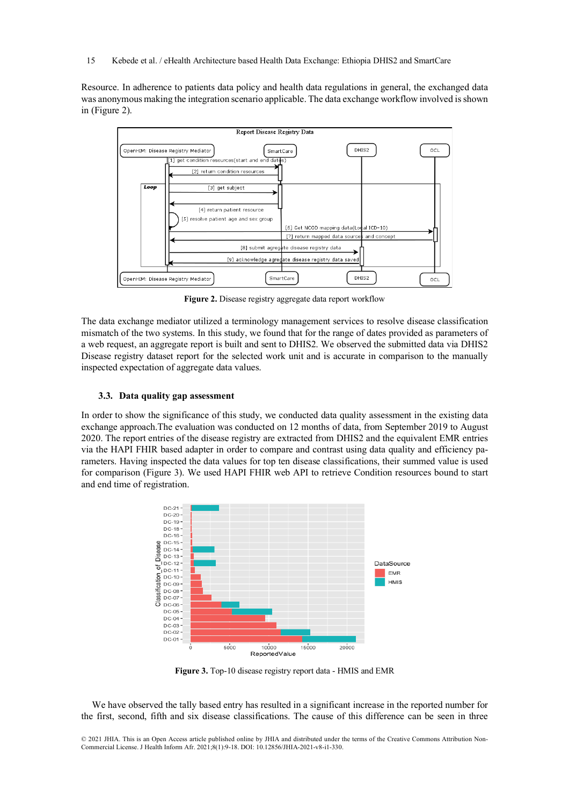Resource. In adherence to patients data policy and health data regulations in general, the exchanged data was anonymous making the integration scenario applicable. The data exchange workflow involved is shown in (Figure 2).



**Figure 2.** Disease registry aggregate data report workflow

The data exchange mediator utilized a terminology management services to resolve disease classification mismatch of the two systems. In this study, we found that for the range of dates provided as parameters of a web request, an aggregate report is built and sent to DHIS2. We observed the submitted data via DHIS2 Disease registry dataset report for the selected work unit and is accurate in comparison to the manually inspected expectation of aggregate data values.

## **3.3. Data quality gap assessment**

In order to show the significance of this study, we conducted data quality assessment in the existing data exchange approach.The evaluation was conducted on 12 months of data, from September 2019 to August 2020. The report entries of the disease registry are extracted from DHIS2 and the equivalent EMR entries via the HAPI FHIR based adapter in order to compare and contrast using data quality and efficiency parameters. Having inspected the data values for top ten disease classifications, their summed value is used for comparison (Figure 3). We used HAPI FHIR web API to retrieve Condition resources bound to start and end time of registration.



**Figure 3.** Top-10 disease registry report data - HMIS and EMR

We have observed the tally based entry has resulted in a significant increase in the reported number for the first, second, fifth and six disease classifications. The cause of this difference can be seen in three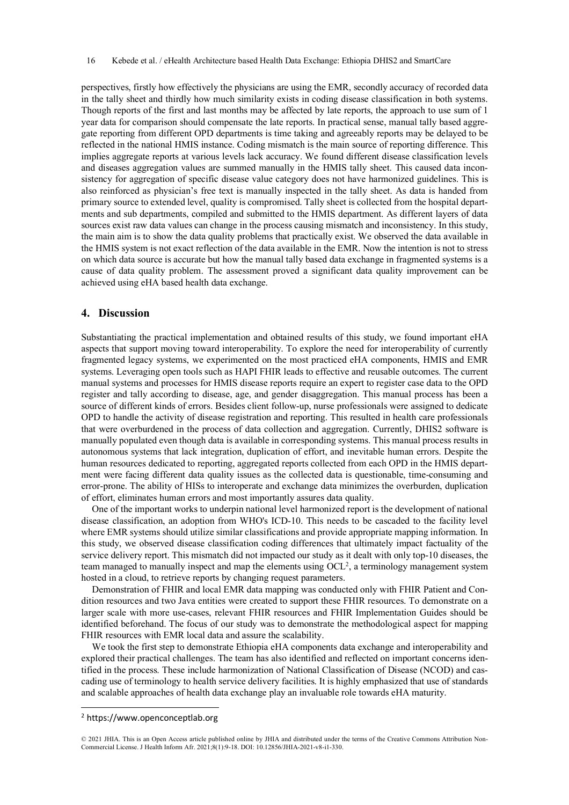perspectives, firstly how effectively the physicians are using the EMR, secondly accuracy of recorded data in the tally sheet and thirdly how much similarity exists in coding disease classification in both systems. Though reports of the first and last months may be affected by late reports, the approach to use sum of 1 year data for comparison should compensate the late reports. In practical sense, manual tally based aggregate reporting from different OPD departments is time taking and agreeably reports may be delayed to be reflected in the national HMIS instance. Coding mismatch is the main source of reporting difference. This implies aggregate reports at various levels lack accuracy. We found different disease classification levels and diseases aggregation values are summed manually in the HMIS tally sheet. This caused data inconsistency for aggregation of specific disease value category does not have harmonized guidelines. This is also reinforced as physician's free text is manually inspected in the tally sheet. As data is handed from primary source to extended level, quality is compromised. Tally sheet is collected from the hospital departments and sub departments, compiled and submitted to the HMIS department. As different layers of data sources exist raw data values can change in the process causing mismatch and inconsistency. In this study, the main aim is to show the data quality problems that practically exist. We observed the data available in the HMIS system is not exact reflection of the data available in the EMR. Now the intention is not to stress on which data source is accurate but how the manual tally based data exchange in fragmented systems is a cause of data quality problem. The assessment proved a significant data quality improvement can be achieved using eHA based health data exchange.

## **4. Discussion**

Substantiating the practical implementation and obtained results of this study, we found important eHA aspects that support moving toward interoperability. To explore the need for interoperability of currently fragmented legacy systems, we experimented on the most practiced eHA components, HMIS and EMR systems. Leveraging open tools such as HAPI FHIR leads to effective and reusable outcomes. The current manual systems and processes for HMIS disease reports require an expert to register case data to the OPD register and tally according to disease, age, and gender disaggregation. This manual process has been a source of different kinds of errors. Besides client follow-up, nurse professionals were assigned to dedicate OPD to handle the activity of disease registration and reporting. This resulted in health care professionals that were overburdened in the process of data collection and aggregation. Currently, DHIS2 software is manually populated even though data is available in corresponding systems. This manual process results in autonomous systems that lack integration, duplication of effort, and inevitable human errors. Despite the human resources dedicated to reporting, aggregated reports collected from each OPD in the HMIS department were facing different data quality issues as the collected data is questionable, time-consuming and error-prone. The ability of HISs to interoperate and exchange data minimizes the overburden, duplication of effort, eliminates human errors and most importantly assures data quality.

One of the important works to underpin national level harmonized report is the development of national disease classification, an adoption from WHO's ICD-10. This needs to be cascaded to the facility level where EMR systems should utilize similar classifications and provide appropriate mapping information. In this study, we observed disease classification coding differences that ultimately impact factuality of the service delivery report. This mismatch did not impacted our study as it dealt with only top-10 diseases, the team managed to manually inspect and map the elements using  $OCL^2$ , a terminology management system hosted in a cloud, to retrieve reports by changing request parameters.

Demonstration of FHIR and local EMR data mapping was conducted only with FHIR Patient and Condition resources and two Java entities were created to support these FHIR resources. To demonstrate on a larger scale with more use-cases, relevant FHIR resources and FHIR Implementation Guides should be identified beforehand. The focus of our study was to demonstrate the methodological aspect for mapping FHIR resources with EMR local data and assure the scalability.

We took the first step to demonstrate Ethiopia eHA components data exchange and interoperability and explored their practical challenges. The team has also identified and reflected on important concerns identified in the process. These include harmonization of National Classification of Disease (NCOD) and cascading use of terminology to health service delivery facilities. It is highly emphasized that use of standards and scalable approaches of health data exchange play an invaluable role towards eHA maturity.

l

<sup>2</sup> https://www.openconceptlab.org

<sup>© 2021</sup> JHIA. This is an Open Access article published online by JHIA and distributed under the terms of the Creative Commons Attribution Non-Commercial License. J Health Inform Afr. 2021;8(1):9-18. DOI: 10.12856/JHIA-2021-v8-i1-330.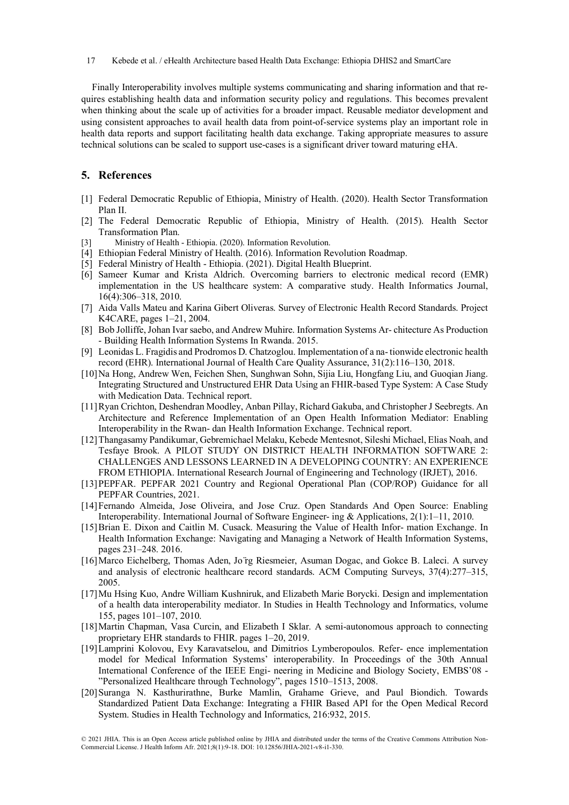17 Kebede et al. / eHealth Architecture based Health Data Exchange: Ethiopia DHIS2 and SmartCare

Finally Interoperability involves multiple systems communicating and sharing information and that requires establishing health data and information security policy and regulations. This becomes prevalent when thinking about the scale up of activities for a broader impact. Reusable mediator development and using consistent approaches to avail health data from point-of-service systems play an important role in health data reports and support facilitating health data exchange. Taking appropriate measures to assure technical solutions can be scaled to support use-cases is a significant driver toward maturing eHA.

## **5. References**

- [1] Federal Democratic Republic of Ethiopia, Ministry of Health. (2020). Health Sector Transformation Plan II.
- [2] The Federal Democratic Republic of Ethiopia, Ministry of Health. (2015). Health Sector Transformation Plan.
- Ministry of Health Ethiopia. (2020). Information Revolution.
- [4] Ethiopian Federal Ministry of Health. (2016). Information Revolution Roadmap.
- [5] Federal Ministry of Health Ethiopia. (2021). Digital Health Blueprint.
- [6] Sameer Kumar and Krista Aldrich. Overcoming barriers to electronic medical record (EMR) implementation in the US healthcare system: A comparative study. Health Informatics Journal, 16(4):306–318, 2010.
- [7] Aida Valls Mateu and Karina Gibert Oliveras. Survey of Electronic Health Record Standards. Project K4CARE, pages 1–21, 2004.
- [8] Bob Jolliffe, Johan Ivar saebo, and Andrew Muhire. Information Systems Ar- chitecture As Production - Building Health Information Systems In Rwanda. 2015.
- [9] Leonidas L. Fragidis and Prodromos D. Chatzoglou. Implementation of a na- tionwide electronic health record (EHR). International Journal of Health Care Quality Assurance, 31(2):116–130, 2018.
- [10]Na Hong, Andrew Wen, Feichen Shen, Sunghwan Sohn, Sijia Liu, Hongfang Liu, and Guoqian Jiang. Integrating Structured and Unstructured EHR Data Using an FHIR-based Type System: A Case Study with Medication Data. Technical report.
- [11]Ryan Crichton, Deshendran Moodley, Anban Pillay, Richard Gakuba, and Christopher J Seebregts. An Architecture and Reference Implementation of an Open Health Information Mediator: Enabling Interoperability in the Rwan- dan Health Information Exchange. Technical report.
- [12]Thangasamy Pandikumar, Gebremichael Melaku, Kebede Mentesnot, Sileshi Michael, Elias Noah, and Tesfaye Brook. A PILOT STUDY ON DISTRICT HEALTH INFORMATION SOFTWARE 2: CHALLENGES AND LESSONS LEARNED IN A DEVELOPING COUNTRY: AN EXPERIENCE FROM ETHIOPIA. International Research Journal of Engineering and Technology (IRJET), 2016.
- [13]PEPFAR. PEPFAR 2021 Country and Regional Operational Plan (COP/ROP) Guidance for all PEPFAR Countries, 2021.
- [14]Fernando Almeida, Jose Oliveira, and Jose Cruz. Open Standards And Open Source: Enabling Interoperability. International Journal of Software Engineer- ing & Applications, 2(1):1–11, 2010.
- [15]Brian E. Dixon and Caitlin M. Cusack. Measuring the Value of Health Infor- mation Exchange. In Health Information Exchange: Navigating and Managing a Network of Health Information Systems, pages 231–248. 2016.
- [16]Marco Eichelberg, Thomas Aden, Jo ̈rg Riesmeier, Asuman Dogac, and Gokce B. Laleci. A survey and analysis of electronic healthcare record standards. ACM Computing Surveys, 37(4):277–315, 2005.
- [17]Mu Hsing Kuo, Andre William Kushniruk, and Elizabeth Marie Borycki. Design and implementation of a health data interoperability mediator. In Studies in Health Technology and Informatics, volume 155, pages 101–107, 2010.
- [18]Martin Chapman, Vasa Curcin, and Elizabeth I Sklar. A semi-autonomous approach to connecting proprietary EHR standards to FHIR. pages 1–20, 2019.
- [19]Lamprini Kolovou, Evy Karavatselou, and Dimitrios Lymberopoulos. Refer- ence implementation model for Medical Information Systems' interoperability. In Proceedings of the 30th Annual International Conference of the IEEE Engi- neering in Medicine and Biology Society, EMBS'08 - "Personalized Healthcare through Technology", pages 1510–1513, 2008.
- [20]Suranga N. Kasthurirathne, Burke Mamlin, Grahame Grieve, and Paul Biondich. Towards Standardized Patient Data Exchange: Integrating a FHIR Based API for the Open Medical Record System. Studies in Health Technology and Informatics, 216:932, 2015.